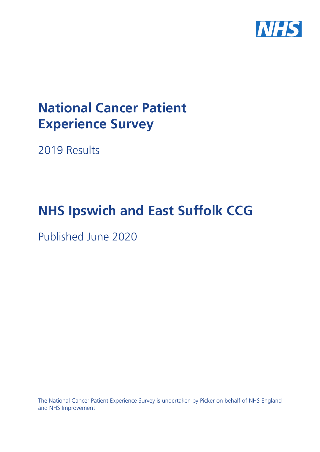

# **National Cancer Patient Experience Survey**

2019 Results

# **NHS Ipswich and East Suffolk CCG**

Published June 2020

The National Cancer Patient Experience Survey is undertaken by Picker on behalf of NHS England and NHS Improvement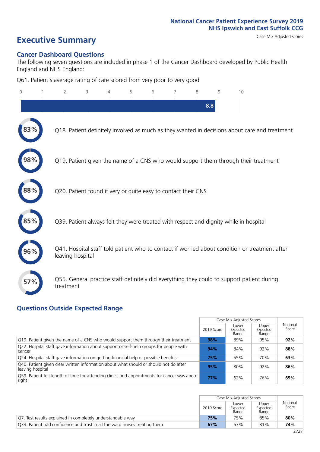# **Executive Summary** Case Mix Adjusted scores

### **Cancer Dashboard Questions**

The following seven questions are included in phase 1 of the Cancer Dashboard developed by Public Health England and NHS England:

Q61. Patient's average rating of care scored from very poor to very good

| $\Omega$ | $\overline{2}$   | 3                                                             | 4 | 5 | 6 | 7 | 8 | $\mathsf{Q}$ | 10                                                                                            |
|----------|------------------|---------------------------------------------------------------|---|---|---|---|---|--------------|-----------------------------------------------------------------------------------------------|
|          |                  |                                                               |   |   |   |   |   | 8.8          |                                                                                               |
|          |                  |                                                               |   |   |   |   |   |              | Q18. Patient definitely involved as much as they wanted in decisions about care and treatment |
|          |                  |                                                               |   |   |   |   |   |              | Q19. Patient given the name of a CNS who would support them through their treatment           |
|          |                  | Q20. Patient found it very or quite easy to contact their CNS |   |   |   |   |   |              |                                                                                               |
|          |                  |                                                               |   |   |   |   |   |              | Q39. Patient always felt they were treated with respect and dignity while in hospital         |
|          | leaving hospital |                                                               |   |   |   |   |   |              | Q41. Hospital staff told patient who to contact if worried about condition or treatment after |
| 57%      | treatment        |                                                               |   |   |   |   |   |              | Q55. General practice staff definitely did everything they could to support patient during    |

### **Questions Outside Expected Range**

|                                                                                                           |            | Case Mix Adjusted Scores   |                            |                   |
|-----------------------------------------------------------------------------------------------------------|------------|----------------------------|----------------------------|-------------------|
|                                                                                                           | 2019 Score | Lower<br>Expected<br>Range | Upper<br>Expected<br>Range | National<br>Score |
| $\sqrt{Q}$ 219. Patient given the name of a CNS who would support them through their treatment            | 98%        | 89%                        | 95%                        | 92%               |
| Q22. Hospital staff gave information about support or self-help groups for people with<br>cancer          | 94%        | 84%                        | 92%                        | 88%               |
| Q24. Hospital staff gave information on getting financial help or possible benefits                       | 75%        | 55%                        | 70%                        | 63%               |
| Q40. Patient given clear written information about what should or should not do after<br>leaving hospital | 95%        | 80%                        | 92%                        | 86%               |
| Q59. Patient felt length of time for attending clinics and appointments for cancer was about<br>right     | 77%        | 62%                        | 76%                        | 69%               |

|                                                                            |            | Case Mix Adjusted Scores   |                            |                   |
|----------------------------------------------------------------------------|------------|----------------------------|----------------------------|-------------------|
|                                                                            | 2019 Score | Lower<br>Expected<br>Range | Upper<br>Expected<br>Range | National<br>Score |
| Q7. Test results explained in completely understandable way                | 75%        | 75%                        | 85%                        | 80%               |
| 033. Patient had confidence and trust in all the ward nurses treating them | 67%        | 67%                        | 81%                        | 74%               |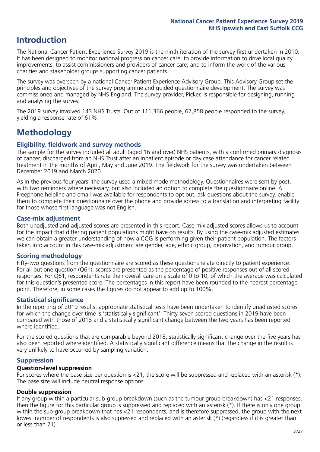### **Introduction**

The National Cancer Patient Experience Survey 2019 is the ninth iteration of the survey first undertaken in 2010. It has been designed to monitor national progress on cancer care; to provide information to drive local quality improvements; to assist commissioners and providers of cancer care; and to inform the work of the various charities and stakeholder groups supporting cancer patients.

The survey was overseen by a national Cancer Patient Experience Advisory Group. This Advisory Group set the principles and objectives of the survey programme and guided questionnaire development. The survey was commissioned and managed by NHS England. The survey provider, Picker, is responsible for designing, running and analysing the survey.

The 2019 survey involved 143 NHS Trusts. Out of 111,366 people, 67,858 people responded to the survey, yielding a response rate of 61%.

### **Methodology**

### **Eligibility, eldwork and survey methods**

The sample for the survey included all adult (aged 16 and over) NHS patients, with a confirmed primary diagnosis of cancer, discharged from an NHS Trust after an inpatient episode or day case attendance for cancer related treatment in the months of April, May and June 2019. The fieldwork for the survey was undertaken between December 2019 and March 2020.

As in the previous four years, the survey used a mixed mode methodology. Questionnaires were sent by post, with two reminders where necessary, but also included an option to complete the questionnaire online. A Freephone helpline and email was available for respondents to opt out, ask questions about the survey, enable them to complete their questionnaire over the phone and provide access to a translation and interpreting facility for those whose first language was not English.

### **Case-mix adjustment**

Both unadjusted and adjusted scores are presented in this report. Case-mix adjusted scores allows us to account for the impact that differing patient populations might have on results. By using the case-mix adjusted estimates we can obtain a greater understanding of how a CCG is performing given their patient population. The factors taken into account in this case-mix adjustment are gender, age, ethnic group, deprivation, and tumour group.

### **Scoring methodology**

Fifty-two questions from the questionnaire are scored as these questions relate directly to patient experience. For all but one question (Q61), scores are presented as the percentage of positive responses out of all scored responses. For Q61, respondents rate their overall care on a scale of 0 to 10, of which the average was calculated for this question's presented score. The percentages in this report have been rounded to the nearest percentage point. Therefore, in some cases the figures do not appear to add up to 100%.

### **Statistical significance**

In the reporting of 2019 results, appropriate statistical tests have been undertaken to identify unadjusted scores for which the change over time is 'statistically significant'. Thirty-seven scored questions in 2019 have been compared with those of 2018 and a statistically significant change between the two years has been reported where identified.

For the scored questions that are comparable beyond 2018, statistically significant change over the five years has also been reported where identified. A statistically significant difference means that the change in the result is very unlikely to have occurred by sampling variation.

### **Suppression**

### **Question-level suppression**

For scores where the base size per question is  $<$ 21, the score will be suppressed and replaced with an asterisk (\*). The base size will include neutral response options.

### **Double suppression**

If any group within a particular sub-group breakdown (such as the tumour group breakdown) has <21 responses, then the figure for this particular group is suppressed and replaced with an asterisk (\*). If there is only one group within the sub-group breakdown that has <21 respondents, and is therefore suppressed, the group with the next lowest number of respondents is also supressed and replaced with an asterisk (\*) (regardless if it is greater than or less than 21).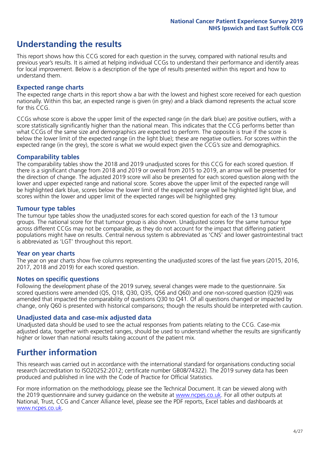### **Understanding the results**

This report shows how this CCG scored for each question in the survey, compared with national results and previous year's results. It is aimed at helping individual CCGs to understand their performance and identify areas for local improvement. Below is a description of the type of results presented within this report and how to understand them.

### **Expected range charts**

The expected range charts in this report show a bar with the lowest and highest score received for each question nationally. Within this bar, an expected range is given (in grey) and a black diamond represents the actual score for this CCG.

CCGs whose score is above the upper limit of the expected range (in the dark blue) are positive outliers, with a score statistically significantly higher than the national mean. This indicates that the CCG performs better than what CCGs of the same size and demographics are expected to perform. The opposite is true if the score is below the lower limit of the expected range (in the light blue); these are negative outliers. For scores within the expected range (in the grey), the score is what we would expect given the CCG's size and demographics.

### **Comparability tables**

The comparability tables show the 2018 and 2019 unadjusted scores for this CCG for each scored question. If there is a significant change from 2018 and 2019 or overall from 2015 to 2019, an arrow will be presented for the direction of change. The adjusted 2019 score will also be presented for each scored question along with the lower and upper expected range and national score. Scores above the upper limit of the expected range will be highlighted dark blue, scores below the lower limit of the expected range will be highlighted light blue, and scores within the lower and upper limit of the expected ranges will be highlighted grey.

### **Tumour type tables**

The tumour type tables show the unadjusted scores for each scored question for each of the 13 tumour groups. The national score for that tumour group is also shown. Unadjusted scores for the same tumour type across different CCGs may not be comparable, as they do not account for the impact that differing patient populations might have on results. Central nervous system is abbreviated as 'CNS' and lower gastrointestinal tract is abbreviated as 'LGT' throughout this report.

### **Year on year charts**

The year on year charts show five columns representing the unadjusted scores of the last five years (2015, 2016, 2017, 2018 and 2019) for each scored question.

#### **Notes on specific questions**

Following the development phase of the 2019 survey, several changes were made to the questionnaire. Six scored questions were amended (Q5, Q18, Q30, Q35, Q56 and Q60) and one non-scored question (Q29) was amended that impacted the comparability of questions Q30 to Q41. Of all questions changed or impacted by change, only Q60 is presented with historical comparisons; though the results should be interpreted with caution.

### **Unadjusted data and case-mix adjusted data**

Unadjusted data should be used to see the actual responses from patients relating to the CCG. Case-mix adjusted data, together with expected ranges, should be used to understand whether the results are significantly higher or lower than national results taking account of the patient mix.

### **Further information**

This research was carried out in accordance with the international standard for organisations conducting social research (accreditation to ISO20252:2012; certificate number GB08/74322). The 2019 survey data has been produced and published in line with the Code of Practice for Official Statistics.

For more information on the methodology, please see the Technical Document. It can be viewed along with the 2019 questionnaire and survey quidance on the website at [www.ncpes.co.uk](https://www.ncpes.co.uk/supporting-documents). For all other outputs at National, Trust, CCG and Cancer Alliance level, please see the PDF reports, Excel tables and dashboards at [www.ncpes.co.uk.](https://www.ncpes.co.uk/current-results)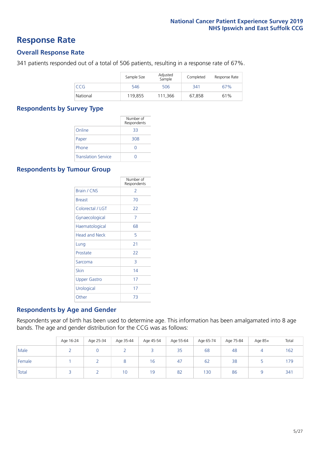### **Response Rate**

### **Overall Response Rate**

341 patients responded out of a total of 506 patients, resulting in a response rate of 67%.

|          | Sample Size | Adjusted<br>Sample | Completed | Response Rate |
|----------|-------------|--------------------|-----------|---------------|
| CCG      | 546         | 506                | 341       | 67%           |
| National | 119,855     | 111,366            | 67,858    | 61%           |

### **Respondents by Survey Type**

|                            | Number of<br>Respondents |
|----------------------------|--------------------------|
| Online                     | 33                       |
| Paper                      | 308                      |
| Phone                      | $\left( \right)$         |
| <b>Translation Service</b> |                          |

### **Respondents by Tumour Group**

|                      | Number of<br>Respondents |
|----------------------|--------------------------|
| <b>Brain / CNS</b>   | $\mathcal{P}$            |
| <b>Breast</b>        | 70                       |
| Colorectal / LGT     | 22                       |
| Gynaecological       | 7                        |
| Haematological       | 68                       |
| <b>Head and Neck</b> | 5                        |
| Lung                 | 21                       |
| Prostate             | 22                       |
| Sarcoma              | 3                        |
| Skin                 | 14                       |
| <b>Upper Gastro</b>  | 17                       |
| Urological           | 17                       |
| Other                | 73                       |

### **Respondents by Age and Gender**

Respondents year of birth has been used to determine age. This information has been amalgamated into 8 age bands. The age and gender distribution for the CCG was as follows:

|        | Age 16-24 | Age 25-34 | Age 35-44 | Age 45-54 | Age 55-64 | Age 65-74 | Age 75-84 | Age 85+ | Total |
|--------|-----------|-----------|-----------|-----------|-----------|-----------|-----------|---------|-------|
| Male   |           |           |           |           | 35        | 68        | 48        |         | 162   |
| Female |           |           | ୪         | 16        | 47        | 62        | 38        |         | 179   |
| Total  |           |           | 10        | 19        | 82        | 130       | 86        |         | 341   |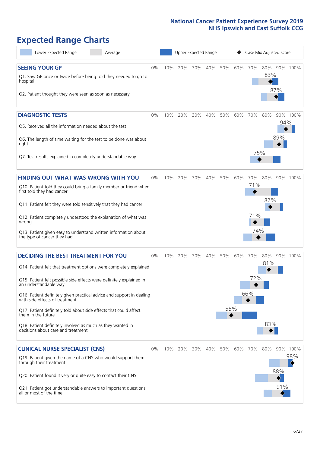# **Expected Range Charts**

| Lower Expected Range<br>Average                                                                         |       |     | Upper Expected Range |     |     |     |     |     | Case Mix Adjusted Score |     |          |
|---------------------------------------------------------------------------------------------------------|-------|-----|----------------------|-----|-----|-----|-----|-----|-------------------------|-----|----------|
| <b>SEEING YOUR GP</b>                                                                                   | 0%    | 10% | 20%                  | 30% | 40% | 50% | 60% | 70% | 80%                     |     | 90% 100% |
| Q1. Saw GP once or twice before being told they needed to go to<br>hospital                             |       |     |                      |     |     |     |     |     | 83%                     |     |          |
| Q2. Patient thought they were seen as soon as necessary                                                 |       |     |                      |     |     |     |     |     |                         | 87% |          |
| <b>DIAGNOSTIC TESTS</b>                                                                                 | $0\%$ | 10% | 20%                  | 30% | 40% | 50% | 60% | 70% | 80%                     |     | 90% 100% |
| Q5. Received all the information needed about the test                                                  |       |     |                      |     |     |     |     |     |                         | 94% |          |
| Q6. The length of time waiting for the test to be done was about<br>right                               |       |     |                      |     |     |     |     |     |                         | 89% |          |
| Q7. Test results explained in completely understandable way                                             |       |     |                      |     |     |     |     | 75% |                         |     |          |
| <b>FINDING OUT WHAT WAS WRONG WITH YOU</b>                                                              | $0\%$ | 10% | 20%                  | 30% | 40% | 50% | 60% | 70% | 80%                     |     | 90% 100% |
| Q10. Patient told they could bring a family member or friend when<br>first told they had cancer         |       |     |                      |     |     |     |     | 71% |                         |     |          |
| Q11. Patient felt they were told sensitively that they had cancer                                       |       |     |                      |     |     |     |     |     | 82%                     |     |          |
| Q12. Patient completely understood the explanation of what was<br>wrong                                 |       |     |                      |     |     |     |     | 71% |                         |     |          |
| Q13. Patient given easy to understand written information about<br>the type of cancer they had          |       |     |                      |     |     |     |     | 74% |                         |     |          |
| <b>DECIDING THE BEST TREATMENT FOR YOU</b>                                                              | $0\%$ | 10% | 20%                  | 30% | 40% | 50% | 60% | 70% | 80%                     |     | 90% 100% |
| Q14. Patient felt that treatment options were completely explained                                      |       |     |                      |     |     |     |     |     | 81%                     |     |          |
| Q15. Patient felt possible side effects were definitely explained in<br>an understandable way           |       |     |                      |     |     |     |     | 72% |                         |     |          |
| Q16. Patient definitely given practical advice and support in dealing<br>with side effects of treatment |       |     |                      |     |     |     |     | 66% |                         |     |          |
| Q17. Patient definitely told about side effects that could affect<br>them in the future                 |       |     |                      |     |     |     | 55% |     |                         |     |          |
| Q18. Patient definitely involved as much as they wanted in<br>decisions about care and treatment        |       |     |                      |     |     |     |     |     | 83%                     |     |          |
| <b>CLINICAL NURSE SPECIALIST (CNS)</b>                                                                  | $0\%$ | 10% | 20%                  | 30% | 40% | 50% | 60% | 70% | 80%                     | 90% | 100%     |
| Q19. Patient given the name of a CNS who would support them<br>through their treatment                  |       |     |                      |     |     |     |     |     |                         |     | 98%<br>ぐ |
| Q20. Patient found it very or quite easy to contact their CNS                                           |       |     |                      |     |     |     |     |     |                         | 88% |          |
| Q21. Patient got understandable answers to important questions<br>all or most of the time               |       |     |                      |     |     |     |     |     |                         | 91% |          |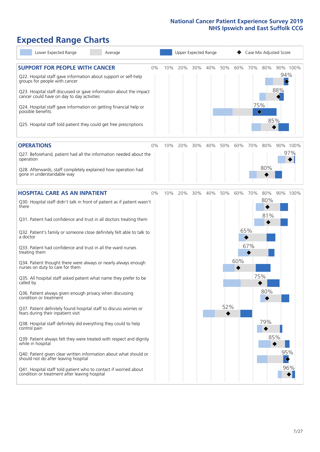# **Expected Range Charts**

| Lower Expected Range<br>Average                                                                                                                                                                                                                                                                                                                                                                                                                                                                                                                                                                                                                                                                                                                                                                                                                                                                                                                                                                                                                                                                                                                                                   |    |     | <b>Upper Expected Range</b> |     |     |            |            |                   |                                        | Case Mix Adjusted Score       |     |
|-----------------------------------------------------------------------------------------------------------------------------------------------------------------------------------------------------------------------------------------------------------------------------------------------------------------------------------------------------------------------------------------------------------------------------------------------------------------------------------------------------------------------------------------------------------------------------------------------------------------------------------------------------------------------------------------------------------------------------------------------------------------------------------------------------------------------------------------------------------------------------------------------------------------------------------------------------------------------------------------------------------------------------------------------------------------------------------------------------------------------------------------------------------------------------------|----|-----|-----------------------------|-----|-----|------------|------------|-------------------|----------------------------------------|-------------------------------|-----|
| <b>SUPPORT FOR PEOPLE WITH CANCER</b><br>Q22. Hospital staff gave information about support or self-help<br>groups for people with cancer<br>Q23. Hospital staff discussed or gave information about the impact<br>cancer could have on day to day activities<br>Q24. Hospital staff gave information on getting financial help or<br>possible benefits<br>Q25. Hospital staff told patient they could get free prescriptions                                                                                                                                                                                                                                                                                                                                                                                                                                                                                                                                                                                                                                                                                                                                                     | 0% | 10% | 20%                         | 30% | 40% | 50%        | 60%        | 70%<br>75%<br>♦   | 80%                                    | 90% 100%<br>94%<br>88%<br>85% |     |
| <b>OPERATIONS</b><br>Q27. Beforehand, patient had all the information needed about the<br>operation<br>Q28. Afterwards, staff completely explained how operation had<br>gone in understandable way                                                                                                                                                                                                                                                                                                                                                                                                                                                                                                                                                                                                                                                                                                                                                                                                                                                                                                                                                                                | 0% | 10% | 20%                         | 30% | 40% | 50%        | 60%        | 70%               | 80%<br>80%                             | 90% 100%                      | 97% |
| <b>HOSPITAL CARE AS AN INPATIENT</b><br>Q30. Hospital staff didn't talk in front of patient as if patient wasn't<br>there<br>Q31. Patient had confidence and trust in all doctors treating them<br>Q32. Patient's family or someone close definitely felt able to talk to<br>a doctor<br>Q33. Patient had confidence and trust in all the ward nurses<br>treating them<br>Q34. Patient thought there were always or nearly always enough<br>nurses on duty to care for them<br>Q35. All hospital staff asked patient what name they prefer to be<br>called by<br>Q36. Patient always given enough privacy when discussing<br>condition or treatment<br>Q37. Patient definitely found hospital staff to discuss worries or<br>fears during their inpatient visit<br>Q38. Hospital staff definitely did everything they could to help<br>control pain<br>Q39. Patient always felt they were treated with respect and dignity<br>while in hospital<br>Q40. Patient given clear written information about what should or<br>should not do after leaving hospital<br>Q41. Hospital staff told patient who to contact if worried about<br>condition or treatment after leaving hospital | 0% | 10% | 20%                         | 30% | 40% | 50%<br>52% | 60%<br>60% | 70%<br>65%<br>67% | 80%<br>80%<br>81%<br>75%<br>80%<br>79% | 90% 100%<br>85%<br>95%<br>96% |     |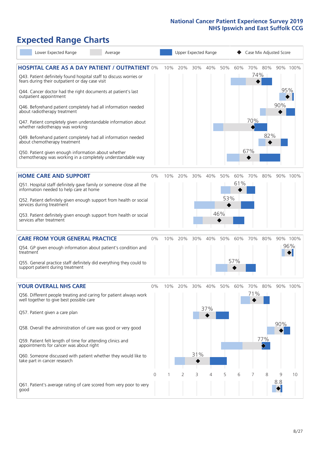### **Expected Range Charts**

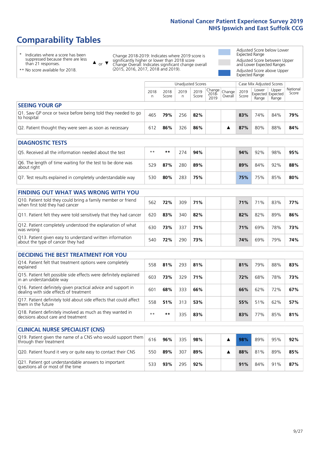### **Comparability Tables**

\* Indicates where a score has been suppressed because there are less than 21 responses.

\*\* No score available for 2018.

 $\triangle$  or  $\nabla$ 

Change 2018-2019: Indicates where 2019 score is significantly higher or lower than 2018 score Change Overall: Indicates significant change overall (2015, 2016, 2017, 2018 and 2019).

Adjusted Score below Lower Expected Range Adjusted Score between Upper and Lower Expected Ranges Adjusted Score above Upper Expected Range

|                                                                             |           | Unadjusted Scores | Case Mix Adjusted Scores |               |                                             |         |               |                |                                            |                   |
|-----------------------------------------------------------------------------|-----------|-------------------|--------------------------|---------------|---------------------------------------------|---------|---------------|----------------|--------------------------------------------|-------------------|
|                                                                             | 2018<br>n | 2018<br>Score     | 2019<br>n                | 2019<br>Score | $\sqrt{Change} Change $<br>$2018 -$<br>2019 | Overall | 2019<br>Score | Lower<br>Range | Upper<br><b>Expected Expected</b><br>Range | National<br>Score |
| <b>SEEING YOUR GP</b>                                                       |           |                   |                          |               |                                             |         |               |                |                                            |                   |
| Q1. Saw GP once or twice before being told they needed to go<br>to hospital | 465       | 79%               | 256                      | 82%           |                                             |         | 83%           | 74%            | 84%                                        | 79%               |
| Q2. Patient thought they were seen as soon as necessary                     | 612       | 86%               | 326                      | 86%           |                                             |         | 87%           | 80%            | 88%                                        | 84%               |
| <b>DIAGNOSTIC TESTS</b>                                                     |           |                   |                          |               |                                             |         |               |                |                                            |                   |

| O5. Received all the information needed about the test                    | $**$ | **  | 774 | 94% |  | 94% | 92% | 98% | 95% |
|---------------------------------------------------------------------------|------|-----|-----|-----|--|-----|-----|-----|-----|
| Q6. The length of time waiting for the test to be done was<br>about right | 529  | 87% | 280 | 89% |  | 89% | 84% | 92% | 88% |
| Q7. Test results explained in completely understandable way               | 530  | 80% | 283 | 75% |  | 75% | 75% | 85% | 80% |

| <b>FINDING OUT WHAT WAS WRONG WITH YOU</b>                                                      |     |     |     |     |            |     |     |     |
|-------------------------------------------------------------------------------------------------|-----|-----|-----|-----|------------|-----|-----|-----|
| Q10. Patient told they could bring a family member or friend<br>when first told they had cancer | 562 | 72% | 309 | 71% | 71%        | 71% | 83% | 77% |
| Q11. Patient felt they were told sensitively that they had cancer                               | 620 | 83% | 340 | 82% | 82%        | 82% | 89% | 86% |
| Q12. Patient completely understood the explanation of what<br>was wrong                         | 630 | 73% | 337 | 71% | <b>71%</b> | 69% | 78% | 73% |
| Q13. Patient given easy to understand written information<br>about the type of cancer they had  | 540 | 72% | 290 | 73% | 74%        | 69% | 79% | 74% |

| <b>DECIDING THE BEST TREATMENT FOR YOU</b>                                                              |      |     |     |     |  |     |     |     |     |
|---------------------------------------------------------------------------------------------------------|------|-----|-----|-----|--|-----|-----|-----|-----|
| Q14. Patient felt that treatment options were completely<br>explained                                   | 558  | 81% | 293 | 81% |  | 81% | 79% | 88% | 83% |
| Q15. Patient felt possible side effects were definitely explained<br>in an understandable way           | 603  | 73% | 329 | 71% |  | 72% | 68% | 78% | 73% |
| Q16. Patient definitely given practical advice and support in<br>dealing with side effects of treatment | 601  | 68% | 333 | 66% |  | 66% | 62% | 72% | 67% |
| Q17. Patient definitely told about side effects that could affect<br>them in the future                 | 558  | 51% | 313 | 53% |  | 55% | 51% | 62% | 57% |
| Q18. Patient definitely involved as much as they wanted in<br>decisions about care and treatment        | $**$ | **  | 335 | 83% |  | 83% | 77% | 85% | 81% |

| <b>CLINICAL NURSE SPECIALIST (CNS)</b>                                                    |     |     |     |     |  |     |     |     |     |
|-------------------------------------------------------------------------------------------|-----|-----|-----|-----|--|-----|-----|-----|-----|
| Q19. Patient given the name of a CNS who would support them<br>through their treatment    | 616 | 96% | 335 | 98% |  | 98% | 89% | 95% | 92% |
| Q20. Patient found it very or quite easy to contact their CNS                             | 550 | 89% | 307 | 89% |  | 88% | 81% | 89% | 85% |
| Q21. Patient got understandable answers to important<br>questions all or most of the time | 533 | 93% | 295 | 92% |  | 91% | 84% | 91% | 87% |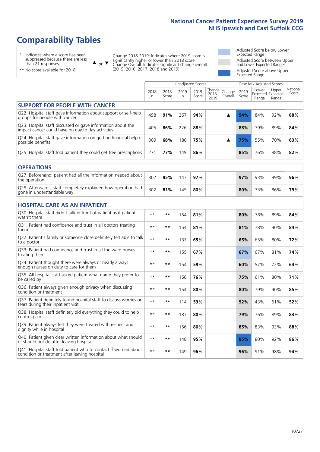### **Comparability Tables**

\* Indicates where a score has been suppressed because there are less than 21 responses.

\*\* No score available for 2018.

 $\triangle$  or  $\nabla$ 

Change 2018-2019: Indicates where 2019 score is significantly higher or lower than 2018 score Change Overall: Indicates significant change overall (2015, 2016, 2017, 2018 and 2019).

Adjusted Score below Lower Expected Range Adjusted Score between Upper and Lower Expected Ranges Adjusted Score above Upper Expected Range

|                                                                                                                   |              |               | <b>Unadjusted Scores</b> |               |                         |                   |               | Case Mix Adjusted Scores            |                |                   |
|-------------------------------------------------------------------------------------------------------------------|--------------|---------------|--------------------------|---------------|-------------------------|-------------------|---------------|-------------------------------------|----------------|-------------------|
|                                                                                                                   | 2018<br>n    | 2018<br>Score | 2019<br>n                | 2019<br>Score | Change<br>2018-<br>2019 | Change<br>Overall | 2019<br>Score | Lower<br>Expected Expected<br>Range | Upper<br>Range | National<br>Score |
| <b>SUPPORT FOR PEOPLE WITH CANCER</b>                                                                             |              |               |                          |               |                         |                   |               |                                     |                |                   |
| Q22. Hospital staff gave information about support or self-help<br>groups for people with cancer                  | 498          | 91%           | 267                      | 94%           |                         | ▲                 | 94%           | 84%                                 | 92%            | 88%               |
| Q23. Hospital staff discussed or gave information about the<br>impact cancer could have on day to day activities  | 405          | 86%           | 226                      | 88%           |                         |                   | 88%           | 79%                                 | 89%            | 84%               |
| Q24. Hospital staff gave information on getting financial help or<br>possible benefits                            | 309          | 68%           | 180                      | 75%           |                         | ▲                 | 75%           | 55%                                 | 70%            | 63%               |
| Q25. Hospital staff told patient they could get free prescriptions                                                | 271          | 77%           | 149                      | 86%           |                         |                   | 85%           | 76%                                 | 88%            | 82%               |
| <b>OPERATIONS</b>                                                                                                 |              |               |                          |               |                         |                   |               |                                     |                |                   |
| Q27. Beforehand, patient had all the information needed about<br>the operation                                    | 302          | 95%           | 147                      | 97%           |                         |                   | 97%           | 93%                                 | 99%            | 96%               |
| Q28. Afterwards, staff completely explained how operation had<br>gone in understandable way                       | 302          | 81%           | 145                      | 80%           |                         |                   | 80%           | 73%                                 | 86%            | 79%               |
| <b>HOSPITAL CARE AS AN INPATIENT</b>                                                                              |              |               |                          |               |                         |                   |               |                                     |                |                   |
| Q30. Hospital staff didn't talk in front of patient as if patient<br>wasn't there                                 | $* *$        | $***$         | 154                      | 81%           |                         |                   | 80%           | 78%                                 | 89%            | 84%               |
| Q31. Patient had confidence and trust in all doctors treating<br>them                                             | $**$         | $***$         | 154                      | 81%           |                         |                   | 81%           | 78%                                 | 90%            | 84%               |
| Q32. Patient's family or someone close definitely felt able to talk<br>to a doctor                                | $* *$        | $***$         | 137                      | 65%           |                         |                   | 65%           | 65%                                 | 80%            | 72%               |
| O33. Patient had confidence and trust in all the ward nurses<br>treating them                                     | $\star\star$ | **            | 155                      | 67%           |                         |                   | 67%           | 67%                                 | 81%            | 74%               |
| Q34. Patient thought there were always or nearly always<br>enough nurses on duty to care for them                 | $* *$        | $***$         | 154                      | 59%           |                         |                   | 60%           | 57%                                 | 72%            | 64%               |
| Q35. All hospital staff asked patient what name they prefer to<br>be called by                                    | $* *$        | $***$         | 156                      | 76%           |                         |                   | 75%           | 61%                                 | 80%            | 71%               |
| Q36. Patient always given enough privacy when discussing<br>condition or treatment                                | $* *$        | $***$         | 154                      | 80%           |                         |                   | 80%           | 79%                                 | 90%            | 85%               |
| Q37. Patient definitely found hospital staff to discuss worries or<br>fears during their inpatient visit          | $* *$        | **            | 114                      | 53%           |                         |                   | 52%           | 43%                                 | 61%            | 52%               |
| Q38. Hospital staff definitely did everything they could to help<br>control pain                                  | $* *$        | $***$         | 137                      | 80%           |                         |                   | 79%           | 76%                                 | 89%            | 83%               |
| Q39. Patient always felt they were treated with respect and<br>dignity while in hospital                          | $* *$        | $***$         | 156                      | 86%           |                         |                   | 85%           | 83%                                 | 93%            | 88%               |
| Q40. Patient given clear written information about what should<br>or should not do after leaving hospital         | $**$         | $***$         | 148                      | 95%           |                         |                   | 95%           | 80%                                 | 92%            | 86%               |
| Q41. Hospital staff told patient who to contact if worried about<br>condition or treatment after leaving hospital | $**$         | **            | 149                      | 96%           |                         |                   | 96%           | 91%                                 | 98%            | 94%               |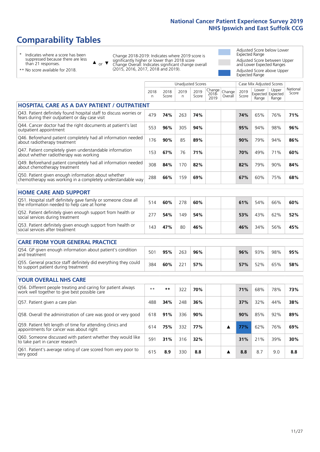Unadjusted Scores **Case Mix Adjusted Scores** 

### **Comparability Tables**

\* Indicates where a score has been suppressed because there are less than 21 responses.

 $\triangle$  or  $\nabla$ 

Change 2018-2019: Indicates where 2019 score is significantly higher or lower than 2018 score Change Overall: Indicates significant change overall (2015, 2016, 2017, 2018 and 2019).

Adjusted Score below Lower Expected Range Adjusted Score between Upper and Lower Expected Ranges Adjusted Score above Upper Expected Range

|  | ** No score available for 2018. |  |
|--|---------------------------------|--|
|  |                                 |  |

|                                                                                                                       | 2018<br>n | 2018<br>Score | 2019<br>n. | 2019<br>Score | Change<br>2018-<br>2019 | Change<br>Overall | 2019<br>Score | Lower<br>Range | Upper<br>Expected Expected<br>Range | National<br>Score |
|-----------------------------------------------------------------------------------------------------------------------|-----------|---------------|------------|---------------|-------------------------|-------------------|---------------|----------------|-------------------------------------|-------------------|
| <b>HOSPITAL CARE AS A DAY PATIENT / OUTPATIENT</b>                                                                    |           |               |            |               |                         |                   |               |                |                                     |                   |
| Q43. Patient definitely found hospital staff to discuss worries or<br>fears during their outpatient or day case visit | 479       | 74%           | 263        | 74%           |                         |                   | 74%           | 65%            | 76%                                 | 71%               |
| Q44. Cancer doctor had the right documents at patient's last<br>outpatient appointment                                | 553       | 96%           | 305        | 94%           |                         |                   | 95%           | 94%            | 98%                                 | 96%               |
| Q46. Beforehand patient completely had all information needed<br>about radiotherapy treatment                         | 176       | 90%           | 85         | 89%           |                         |                   | 90%           | 79%            | 94%                                 | 86%               |
| Q47. Patient completely given understandable information<br>about whether radiotherapy was working                    | 153       | 67%           | 76         | 71%           |                         |                   | 70%           | 49%            | 71%                                 | 60%               |
| Q49. Beforehand patient completely had all information needed<br>about chemotherapy treatment                         | 308       | 84%           | 170        | 82%           |                         |                   | 82%           | 79%            | 90%                                 | 84%               |
| Q50. Patient given enough information about whether<br>chemotherapy was working in a completely understandable way    | 288       | 66%           | 159        | 69%           |                         |                   | 67%           | 60%            | 75%                                 | 68%               |
| <b>HOME CARE AND SUPPORT</b>                                                                                          |           |               |            |               |                         |                   |               |                |                                     |                   |
| Q51. Hospital staff definitely gave family or someone close all<br>the information needed to help care at home        | 514       | 60%           | 278        | 60%           |                         |                   | 61%           | 54%            | 66%                                 | 60%               |
| Q52. Patient definitely given enough support from health or<br>social services during treatment                       | 277       | 54%           | 149        | 54%           |                         |                   | 53%           | 43%            | 62%                                 | 52%               |
| Q53. Patient definitely given enough support from health or<br>social services after treatment                        | 143       | 47%           | 80         | 46%           |                         |                   | 46%           | 34%            | 56%                                 | 45%               |
| <b>CARE FROM YOUR GENERAL PRACTICE</b>                                                                                |           |               |            |               |                         |                   |               |                |                                     |                   |
| Q54. GP given enough information about patient's condition<br>and treatment                                           | 501       | 95%           | 263        | 96%           |                         |                   | 96%           | 93%            | 98%                                 | 95%               |
| Q55. General practice staff definitely did everything they could<br>to support patient during treatment               | 384       | 60%           | 221        | 57%           |                         |                   | 57%           | 52%            | 65%                                 | 58%               |
| <b>YOUR OVERALL NHS CARE</b>                                                                                          |           |               |            |               |                         |                   |               |                |                                     |                   |
| Q56. Different people treating and caring for patient always<br>work well together to give best possible care         | $* *$     | $***$         | 322        | 70%           |                         |                   | 71%           | 68%            | 78%                                 | 73%               |
| Q57. Patient given a care plan                                                                                        | 488       | 34%           | 248        | 36%           |                         |                   | 37%           | 32%            | 44%                                 | 38%               |
| Q58. Overall the administration of care was good or very good                                                         | 618       | 91%           | 336        | 90%           |                         |                   | 90%           | 85%            | 92%                                 | 89%               |
| Q59. Patient felt length of time for attending clinics and<br>appointments for cancer was about right                 | 614       | 75%           | 332        | 77%           |                         | ▲                 | 77%           | 62%            | 76%                                 | 69%               |
| Q60. Someone discussed with patient whether they would like<br>to take part in cancer research                        | 591       | 31%           | 316        | 32%           |                         |                   | 31%           | 21%            | 39%                                 | 30%               |
| Q61. Patient's average rating of care scored from very poor to<br>very good                                           | 615       | 8.9           | 330        | 8.8           |                         | ▲                 | 8.8           | 8.7            | 9.0                                 | 8.8               |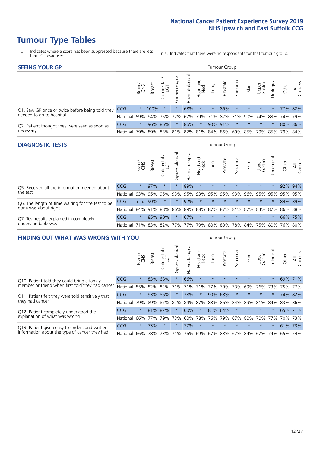- \* Indicates where a score has been suppressed because there are less than 21 responses.
- n.a. Indicates that there were no respondents for that tumour group.

| <b>SEEING YOUR GP</b>                           |            |          |               |                   |                    |                |                  |                 | Tumour Group |         |                                                 |                 |                |       |                |
|-------------------------------------------------|------------|----------|---------------|-------------------|--------------------|----------------|------------------|-----------------|--------------|---------|-------------------------------------------------|-----------------|----------------|-------|----------------|
|                                                 |            | Brain    | <b>Breast</b> | Colorectal<br>LGT | ᠊ᢛ<br>Gynaecologic | Haematological | Head and<br>Neck | Lung            | Prostate     | Sarcoma | Skin                                            | Upper<br>Gastro | –<br>Irologica | Other | All<br>Cancers |
| Q1. Saw GP once or twice before being told they | <b>CCG</b> | $^\star$ | 100%          | $\star$           |                    | 68%            | $\star$          | $\star$         | 86%          | $\star$ | $\star$                                         | $\star$         |                |       | 77% 82%        |
| needed to go to hospital                        | National   | 59%      |               | 94% 75%           | 77%                |                |                  | 67% 79% 71% 82% |              |         | 71% 90% 74% 83% 74% 79%                         |                 |                |       |                |
| Q2. Patient thought they were seen as soon as   | <b>CCG</b> | $\star$  |               | 96% 86%           |                    | 86%            | $\star$          |                 | 90% 91%      | $\star$ | $\star$                                         | $\star$         | $\star$        |       | 80% 86%        |
| necessary                                       | National   | 79%      |               |                   |                    |                |                  |                 |              |         | 89% 83% 81% 82% 81% 84% 86% 69% 85% 79% 85% 79% |                 |                |       | 84%            |

#### **DIAGNOSTIC TESTS** Tumour Group

|                                                   |                                          | Brain<br>CNS | <b>Breast</b> | Colorectal<br>LGT | ᠊ᢛ<br>Gynaecologic | Haematological | Head and<br>Neck | Lung        | Prostate | Sarcoma | Skin    | Upper<br>Gastro | rological                                   | Other | All<br>Cancers |
|---------------------------------------------------|------------------------------------------|--------------|---------------|-------------------|--------------------|----------------|------------------|-------------|----------|---------|---------|-----------------|---------------------------------------------|-------|----------------|
| Q5. Received all the information needed about     | CCG                                      | $\star$      | 97%           | $\star$           | $\star$            | 89%            | $\star$          | $\star$     | $\star$  | $\star$ | $\star$ | $\star$         | $\star$                                     |       | 92% 94%        |
| the test                                          | National                                 | 93%          | 95%           | 95%               |                    | 93% 95%        |                  | 93% 95% 95% |          | 93%     | 96%     |                 | 95% 95%                                     |       | 95% 95%        |
| Q6. The length of time waiting for the test to be | <b>CCG</b>                               | n.a.         | 90%           |                   | $\star$            | 92%            | $\star$          | $\star$     | $\star$  | $\star$ | $\star$ | $\star$         | $\star$                                     |       | 84% 89%        |
| done was about right                              | <b>National</b>                          |              | 84% 91% 88%   |                   |                    |                |                  |             |          |         |         |                 | 86% 89% 88% 87% 87% 81% 87% 84% 87% 86% 88% |       |                |
| Q7. Test results explained in completely          | <b>CCG</b>                               | $\star$      |               | 85% 90%           | $\star$            | 67%            | $\star$          | $\star$     | $\star$  | $\star$ | $\star$ | $\star$         | $\star$                                     |       | 66% 75%        |
| understandable way                                | National 71% 83% 82% 77% 77% 79% 80% 80% |              |               |                   |                    |                |                  |             |          |         |         |                 | 78% 84% 75% 80% 76% 80%                     |       |                |

| <b>FINDING OUT WHAT WAS WRONG WITH YOU</b>        |            |         |               |                        |                |                |                        |             | <b>Tumour Group</b> |         |         |                 |           |         |                |
|---------------------------------------------------|------------|---------|---------------|------------------------|----------------|----------------|------------------------|-------------|---------------------|---------|---------|-----------------|-----------|---------|----------------|
|                                                   |            | Brain   | <b>Breast</b> | olorectal.<br>LGT<br>Ü | Gynaecological | Haematological | ad and<br>Neck<br>Head | Lung        | Prostate            | Sarcoma | Skin    | Upper<br>Gastro | Urologica | Other   | All<br>Cancers |
| Q10. Patient told they could bring a family       | <b>CCG</b> | $\star$ | 83%           | 68%                    | $\star$        | 66%            | $\star$                | $\star$     | $\star$             | $\star$ | $\star$ | $\star$         | $\star$   | 69%     | 71%            |
| member or friend when first told they had cancer  | National   | 85%     | 82%           | 82%                    | 71%            | 71%            | 71%                    | 77%         | 79%                 | 73%     | 69%     | 76%             | 73%       | 75%     | 77%            |
| Q11. Patient felt they were told sensitively that | <b>CCG</b> | $\star$ | 93%           | 86%                    |                | 78%            | $\star$                | 90%         | 68%                 | $\star$ | $\star$ | $\star$         | $\star$   | 74% 82% |                |
| they had cancer                                   | National   | 79%     |               | 89% 87%                | 82%            |                |                        | 84% 87% 83% | 86%                 | 84%     | 89%     | 81%             | 84%       | 83% 86% |                |
| Q12. Patient completely understood the            | <b>CCG</b> | $\star$ | 81%           | 82%                    |                | 60%            | $\star$                | 81%         | 64%                 | $\star$ | $\star$ | $\star$         | $\star$   | 65% 71% |                |
| explanation of what was wrong                     | National   | 66%     | 77%           | 79%                    | 73%            | 60%            | 78%                    | 76%         | 79%                 | 67%     | 80%     |                 | 70% 77%   | 70%     | 173%           |
| Q13. Patient given easy to understand written     | <b>CCG</b> | $\star$ | 73%           | $\star$                |                | 77%            | $\star$                | $\star$     | $\star$             | $\star$ | $\star$ | $\star$         | $\star$   |         | 61% 73%        |
| information about the type of cancer they had     | National   | 66%     | 78%           | 73%                    |                |                |                        |             | 71% 76% 69% 67% 83% | 67%     | 84%     |                 | 67% 74%   | 65%     | 74%            |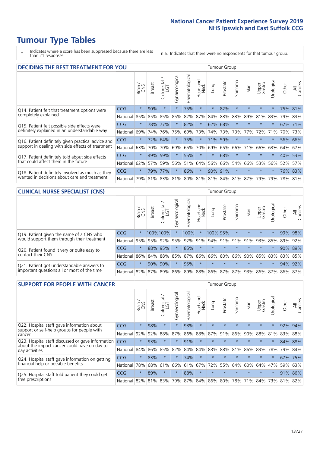\* Indicates where a score has been suppressed because there are less than 21 responses.

n.a. Indicates that there were no respondents for that tumour group.

| <b>DECIDING THE BEST TREATMENT FOR YOU</b>         |            |         |               |                            |                |                |                        |         | <b>Tumour Group</b> |                                 |         |                 |            |         |                |
|----------------------------------------------------|------------|---------|---------------|----------------------------|----------------|----------------|------------------------|---------|---------------------|---------------------------------|---------|-----------------|------------|---------|----------------|
|                                                    |            | Brain   | <b>Breast</b> | olorectal<br>LGT<br>$\cup$ | Gynaecological | Haematological | ad and<br>Neck<br>Head | Lung    | Prostate            | Sarcoma                         | Skin    | Upper<br>Gastro | Jrological | Other   | All<br>Cancers |
| Q14. Patient felt that treatment options were      | CCG        | $\star$ | 90%           | $\star$                    | $\star$        | 75%            | $\star$                | $\star$ | 82%                 | $\star$                         | $\star$ | $\star$         | $\star$    |         | 75% 81%        |
| completely explained                               | National   | 85%     | 85%           | 85%                        | 85%            | 82%            | 87%                    | 84%     | 83%                 | 83%                             | 89%     | 81%             | 83%        |         | 79% 83%        |
| Q15. Patient felt possible side effects were       | <b>CCG</b> | $\star$ | 78%           | 77%                        |                | 82%            | $\star$                | 62%     | 68%                 | $\star$                         | $\star$ | $\star$         | $\star$    |         | 67% 71%        |
| definitely explained in an understandable way      | National   | 69%     | 74%           | 76%                        | 75%            | 69%            | 73%                    |         | 74% 73%             | 73%                             | 77%     | 72%             | 71%        | 70%     | 73%            |
| Q16. Patient definitely given practical advice and | <b>CCG</b> | $\star$ | 72%           | 64%                        |                | 75%            | $\star$                | 71%     | 59%                 | $\star$                         | $\star$ | $\star$         | $\star$    |         | 56% 66%        |
| support in dealing with side effects of treatment  | National   | 63%     | 70%           | 70%                        | 69%            | 65%            | 70%                    | 69%     | 65%                 | 66%                             | 71%     | 66%             | 63%        | 64%     | 67%            |
| Q17. Patient definitely told about side effects    | <b>CCG</b> | $\star$ | 49%           | 59%                        | $\star$        | 55%            | $\star$                | $\star$ | 68%                 | $\star$                         | $\star$ | $\star$         | $^\star$   | 40%     | 53%            |
| that could affect them in the future               | National   | 62%     | 57%           | 59%                        | 56%            | 51%            | 64%                    | 56%     | 66%                 | 54%                             | 66%     | 53%             | 56%        | 52%     | 57%            |
| Q18. Patient definitely involved as much as they   | <b>CCG</b> | $\star$ | 79%           | 77%                        | $\star$        | 86%            | $\star$                | 90%     | 91%                 | $\star$                         | $\star$ | $\star$         | $^\star$   |         | 76% 83%        |
| wanted in decisions about care and treatment       | National   | 79%     | $81\%$        |                            |                |                |                        |         |                     | 83% 81% 80% 81% 81% 84% 81% 87% |         | 79%             | 79%        | 78% 81% |                |

#### **CLINICAL NURSE SPECIALIST (CNS)** Tumour Group

|                                             |                  | Brain   | <b>Breast</b> | ╮<br>olorectal<br>LGT<br>Û | त्त<br>aecologic<br>Š | ক<br>aematologic<br>Í | Head and<br>Neck | Lung                              | Prostate | Sarcoma | Skin    | Upper<br>Gastro | $\sigma$<br>rologica | Other | All<br>Cancers |
|---------------------------------------------|------------------|---------|---------------|----------------------------|-----------------------|-----------------------|------------------|-----------------------------------|----------|---------|---------|-----------------|----------------------|-------|----------------|
| Q19. Patient given the name of a CNS who    | <b>CCG</b>       | $\star$ |               | 100%100%                   |                       | 100%                  | $^\star$         | 100% 95%                          |          | $\star$ | $\star$ | $\star$         |                      | 99%   | 98%            |
| would support them through their treatment  | National         | 95%     | 95%           | 92%                        | 95%                   | 92%                   | 91%              | $ 94\% 91\% 91\% $                |          |         | 91%     | 93%             | 85%                  | 89%   | 92%            |
| Q20. Patient found it very or quite easy to | <b>CCG</b>       | $\star$ |               | 88% 95%                    |                       | 85%                   | $\star$          | $\star$                           | $\star$  | $\star$ | $\star$ | $\star$         |                      |       | 90% 89%        |
| contact their CNS                           | National         | 86%     |               | 84% 88%                    | 85%                   | 87%                   | 86%              | 86% 80%                           |          |         |         | 86% 90% 85%     | 83%                  | 83%   | 85%            |
| Q21. Patient got understandable answers to  | CCG              | $\star$ | 90%           | 90%                        |                       | 95%                   | $\star$          | $\star$                           | $\star$  | $\star$ | $\star$ | $\star$         | $\star$              | 94%   | 92%            |
| important questions all or most of the time | National 82% 87% |         |               | 89%                        | 86%                   |                       |                  | 89%   88%   86%   87%   87%   93% |          |         |         | 86%             | 87%                  | 86%   | 87%            |

| <b>SUPPORT FOR PEOPLE WITH CANCER</b>                                                             |            |         |               |                        |                |                |                        |         | Tumour Group |         |         |                 |           |         |                |
|---------------------------------------------------------------------------------------------------|------------|---------|---------------|------------------------|----------------|----------------|------------------------|---------|--------------|---------|---------|-----------------|-----------|---------|----------------|
|                                                                                                   |            | Brain   | <b>Breast</b> | olorectal.<br>LGT<br>Ũ | Gynaecological | Haematological | ad and<br>Neck<br>Head | Lung    | Prostate     | Sarcoma | Skin    | Upper<br>Gastro | Jrologica | Other   | All<br>Cancers |
| Q22. Hospital staff gave information about<br>support or self-help groups for people with         | <b>CCG</b> | $\star$ | 98%           | $\star$                | $\star$        | 93%            | $\star$                | $\star$ | $\star$      | $\star$ | $\star$ | $\star$         | $\star$   | 92%     | 94%            |
| cancer                                                                                            | National   | 92%     | 92%           | 88%                    | 87%            | 86%            | 88%                    | 87%     | 91%          | 86%     | 90%     | 88%             | 81%       | 83%     | 88%            |
| Q23. Hospital staff discussed or gave information<br>about the impact cancer could have on day to | CCG        | $\star$ | 93%           | $\star$                | $\star$        | 91%            | $\star$                | $\star$ | $\star$      | $\star$ | $\star$ | $\star$         | $\star$   | 84% 88% |                |
| day activities                                                                                    | National   | 84%     | 86%           | 85%                    | 82%            | 84%            | 84%                    | 83%     | 88%          | 81%     | 86%     | 83%             | 78%       | 79%     | 84%            |
| Q24. Hospital staff gave information on getting                                                   | CCG        | $\star$ | 83%           | $\star$                | $\star$        | 74%            | $\ast$                 | $\star$ | $\star$      | $\star$ | $\star$ | $\star$         | $\star$   | 67%     | 75%            |
| financial help or possible benefits                                                               | National   | 78%     | 68%           | 61%                    | 66%            | 61%            | 67%                    | 72%     | 55%          | 64%     | 60%     | 64%             | 47%       | 59%     | 63%            |
| Q25. Hospital staff told patient they could get                                                   | <b>CCG</b> | $\star$ | 89%           | $\star$                | $\star$        | 88%            | $\star$                | $\star$ | $\star$      | $\star$ | $\star$ | $\star$         | $^\star$  | 91%     | 86%            |
| free prescriptions                                                                                | National   | 82%     |               | 81% 83%                | 79%            |                | 87% 84% 86% 80%        |         |              | 78%     | 71%     | $84\%$          | 73%       | 81%     | 82%            |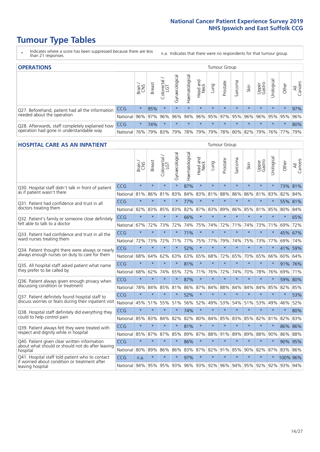- \* Indicates where a score has been suppressed because there are less than 21 responses.
- n.a. Indicates that there were no respondents for that tumour group.

| <b>OPERATIONS</b>                                |            |              |               |                   |                   |               |                  |         | Tumour Group |         |         |                 |                                                  |         |                |
|--------------------------------------------------|------------|--------------|---------------|-------------------|-------------------|---------------|------------------|---------|--------------|---------|---------|-----------------|--------------------------------------------------|---------|----------------|
|                                                  |            | Brain<br>CNS | <b>Breast</b> | Colorectal<br>LGT | ক<br>Gynaecologic | Haematologica | Head and<br>Neck | Lung    | Prostate     | Sarcoma | Skin    | Upper<br>Gastro | Urological                                       | Other   | All<br>Cancers |
| Q27. Beforehand, patient had all the information | <b>CCG</b> | $\star$      | 95%           | $\star$           | $\star$           | $\star$       | $\star$          | $\star$ | $\star$      | $\star$ | $\star$ | $\star$         | $\star$                                          | $\star$ | 97%            |
| needed about the operation                       | National   | 96%          |               | 97% 96%           |                   | 96% 94%       |                  |         |              |         |         |                 | 96% 95% 97% 95% 96% 96% 95% 95%                  |         | 96%            |
| Q28. Afterwards, staff completely explained how  | <b>CCG</b> | $\star$      | 74%           | $\star$           | $\star$           | $\star$       | $\star$          | $\star$ | $\star$      | $\star$ | $\star$ | $\star$         | $\star$                                          | $\star$ | 80%            |
| operation had gone in understandable way         | National   | 76%          |               | 79% 83%           |                   |               |                  |         |              |         |         |                 | 79%  78%  79%  79%  78%  80%  82%  79%  76%  77% |         | 79%            |

#### **HOSPITAL CARE AS AN INPATIENT** Tumour Group

|                                                                                                   |            | Brain   | Breast  | Colorectal /<br>LGT | Gynaecological | Haematological | Head and<br>Neck | Lung        | Prostate | Sarcoma | Skin    | Upper<br>Gastro | Urological | Other    | All<br>Cancers |
|---------------------------------------------------------------------------------------------------|------------|---------|---------|---------------------|----------------|----------------|------------------|-------------|----------|---------|---------|-----------------|------------|----------|----------------|
| Q30. Hospital staff didn't talk in front of patient                                               | CCG        | $\star$ | $\star$ | $\star$             | $\star$        | 87%            | $\star$          | $\star$     | $\star$  | $\star$ | $\star$ | $\star$         | $\star$    | 73% 81%  |                |
| as if patient wasn't there                                                                        | National   | 81%     | 86%     | 81%                 | 83%            | 84%            | 83%              | 81%         | 88%      | 86%     | 86%     | 81%             | 83%        | 82%      | 84%            |
| Q31. Patient had confidence and trust in all                                                      | CCG        | $\star$ | $\star$ | $\star$             | $\star$        | 77%            | $\star$          | $\star$     | $\star$  | $\star$ | $\star$ | $\star$         | $\star$    | 55% 81%  |                |
| doctors treating them                                                                             | National   | 82%     | 83%     | 85%                 | 83%            | 82%            |                  | 87% 83%     | 89%      | 86%     | 85%     | 81%             | 85%        | 80% 84%  |                |
| Q32. Patient's family or someone close definitely<br>felt able to talk to a doctor                | CCG        | $\star$ | $\star$ | $\star$             | $\star$        | 66%            | $\star$          | $\star$     | $\star$  | $\star$ | $\star$ | $\star$         | $\star$    | $\star$  | 65%            |
|                                                                                                   | National   | 67%     | 72%     | 73%                 | 72%            | 74%            | 75%              | 74%         | 72%      | 71%     | 74%     | 73%             | 71%        | 69%      | 72%            |
| Q33. Patient had confidence and trust in all the<br>ward nurses treating them                     | CCG        | $\star$ | $\star$ | $\star$             | $\star$        | 71%            | $\star$          | $\star$     | $\star$  | $\star$ | $\star$ | $\star$         | $\star$    | 45%      | 67%            |
|                                                                                                   | National   | 72%     | 73%     | 72%                 | 71%            | 77%            | 75%              | 77%         | 79%      | 74%     | 75%     | 73%             | 77%        | 69%      | 74%            |
| Q34. Patient thought there were always or nearly<br>always enough nurses on duty to care for them | CCG        | $\star$ | $\star$ | $\star$             | $\star$        | 52%            | $\star$          | $\star$     | $\star$  | $\star$ | $\star$ | $\star$         | $\star$    | 41%      | 59%            |
|                                                                                                   | National   | 68%     | 64%     | 62%                 | 63%            | 63%            | 65%              | 68%         | 72%      | 65%     | 70%     | 65%             | 66%        | 60%      | 64%            |
| Q35. All hospital staff asked patient what name<br>they prefer to be called by                    | CCG        | $\star$ | $\star$ | $\star$             | $\star$        | 81%            | $\star$          | $\star$     | $\star$  | $\star$ | $\star$ | $\star$         | $\star$    | 91% 76%  |                |
|                                                                                                   | National   | 68%     | 62%     | 74%                 | 65%            | 72%            | 71%              | 76%         | 72%      | 74%     | 70%     | 78%             | 76%        | 69%      | 71%            |
| Q36. Patient always given enough privacy when                                                     | CCG        | $\star$ | $\star$ | $\star$             | $\star$        | 87%            | $\star$          | $\star$     | $\star$  | $\star$ | $\star$ | $\star$         | $\star$    | 59%      | 80%            |
| discussing condition or treatment                                                                 | National   | 78%     | 84%     | 85%                 | 81%            |                | 86% 87%          | 84%         | 88%      | 84%     | 84%     | 84%             | 85%        | 82%      | 85%            |
| Q37. Patient definitely found hospital staff to                                                   | <b>CCG</b> | $\star$ | $\star$ | $\star$             | $\star$        | 52%            | $\star$          | $\star$     | $\star$  | $\star$ | $\star$ | $\star$         | $\star$    | $\star$  | 53%            |
| discuss worries or fears during their inpatient visit                                             | National   | 45%     | 51%     | 55%                 | 51%            | 56%            | 52%              | 49%         | 53%      | 54%     | 51%     | 53%             | 49%        | 46%      | 52%            |
| Q38. Hospital staff definitely did everything they                                                | CCG        | $\star$ | $\star$ | $\star$             | $\star$        | 74%            | $\star$          | $\star$     | $\star$  | $\star$ | $\star$ | $\star$         | $\star$    | $\star$  | 80%            |
| could to help control pain                                                                        | National   | 85%     | 83%     | 84%                 | 82%            | 82%            | 80%              | 84%         | 85%      | 83%     | 85%     | 82%             | 81%        | 82%      | 83%            |
| Q39. Patient always felt they were treated with                                                   | CCG        | $\star$ | $\star$ | $\star$             | $\star$        | 81%            | $\star$          | $\star$     | $\star$  | $\star$ | $\star$ |                 | $\star$    | 86%      | 86%            |
| respect and dignity while in hospital                                                             | National   | 85%     | 87%     | 87%                 | 85%            |                |                  | 89% 87% 88% | 91%      | 89%     | 89%     | 88%             | 90%        | 86% 88%  |                |
| Q40. Patient given clear written information<br>about what should or should not do after leaving  | CCG        | $\star$ | $\star$ | $\star$             | $\star$        | 86%            | $\star$          | $\star$     | $\star$  | $\star$ | $\star$ | $\star$         | $\star$    | 90% 95%  |                |
| hospital                                                                                          | National   | 80%     | 89%     | 86%                 | 86%            | 83%            | 87%              | 82%         | 91%      | 85%     | 90%     |                 | 82% 87%    | 83%      | 86%            |
| Q41. Hospital staff told patient who to contact<br>if worried about condition or treatment after  | CCG        | n.a.    | $\star$ | $\star$             | $\star$        | 97%            | $\star$          | $\star$     | $\star$  | $\star$ | $\star$ | $\star$         | $\star$    | 100% 96% |                |
| leaving hospital                                                                                  | National   | 94%     | 95%     | 95% 93%             |                |                |                  | 96% 93% 92% |          | 96% 94% |         | 95% 92%         | 92%        | 93% 94%  |                |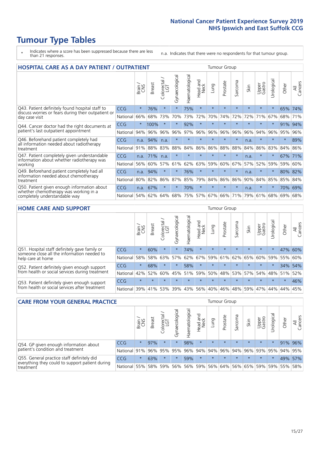## **Tumour Type Tables**

- \* Indicates where a score has been suppressed because there are less than 21 responses.
- n.a. Indicates that there were no respondents for that tumour group.

| <b>HOSPITAL CARE AS A DAY PATIENT / OUTPATIENT</b>                                                                    |            |         |               |                         |                |                |                         | <b>Tumour Group</b> |          |         |         |                 |            |        |                |  |
|-----------------------------------------------------------------------------------------------------------------------|------------|---------|---------------|-------------------------|----------------|----------------|-------------------------|---------------------|----------|---------|---------|-----------------|------------|--------|----------------|--|
|                                                                                                                       |            | Brain   | <b>Breast</b> | olorectal /<br>LGT<br>Ũ | Gynaecological | Haematological | ead and<br>Neck<br>Head | Lung                | Prostate | Sarcoma | Skin    | Upper<br>Gastro | Urological | Other  | All<br>Cancers |  |
| Q43. Patient definitely found hospital staff to                                                                       | CCG        | $\star$ | 76%           | $\star$                 | $\star$        | 75%            | $\star$                 | $\star$             | $\star$  | $\star$ | $\star$ | $\star$         | $\star$    | 65%    | 74%            |  |
| discuss worries or fears during their outpatient or<br>day case visit                                                 | National   | 66%     | 68%           | 73%                     | 70%            | 73%            | 72%                     | 70%                 | 74%      | 72%     | 72%     | 71%             | 67%        | 68%    | 71%            |  |
| Q44. Cancer doctor had the right documents at<br>patient's last outpatient appointment                                | <b>CCG</b> | $\star$ | 100%          | $\star$                 |                | 92%            | $\star$                 | $\star$             | $\star$  | $\star$ |         |                 | $\star$    | 91%    | 94%            |  |
|                                                                                                                       | National   | 94%     | 96%           | 96%                     | 96%            | 97%            | 96%                     | 96%                 | 96%      | 96%     | 96%     | 94%             | 96%        | 95%    | 96%            |  |
| Q46. Beforehand patient completely had                                                                                | CCG        | n.a.    | 94%           | n.a.                    | $\star$        | $\star$        | $\star$                 | $\star$             | $\star$  | $\star$ | n.a.    | $\star$         | $\star$    | $\ast$ | 89%            |  |
| all information needed about radiotherapy<br>treatment                                                                | National   | 91%     | 88%           | 83%                     | 88%            | 84%            | 86%                     | 86%                 | 88%      | 88%     | 84%     | 86%             | 83%        | 84%    | 86%            |  |
| Q47. Patient completely given understandable                                                                          | <b>CCG</b> | n.a.    | 71%           | n.a.                    | $\star$        | $\star$        | $\star$                 | $\star$             | $\star$  | $\star$ | n.a.    | $\star$         | $\star$    | 67%    | 71%            |  |
| information about whether radiotherapy was<br>working                                                                 | National   | 56%     | 60%           | 57%                     | 61%            | 62%            | 63%                     | 59%                 | 60%      | 67%     | 57%     | 52%             | 59%        | 59%    | 60%            |  |
| Q49. Beforehand patient completely had all                                                                            | CCG        | n.a.    | 94%           | $\star$                 | $\star$        | 76%            | $\star$                 | $\star$             | $\star$  | $\star$ | n.a.    | $\star$         | $\star$    |        | 80% 82%        |  |
| information needed about chemotherapy<br>treatment                                                                    | National   | 80%     | 82%           | 86%                     | 87%            | 85%            | 79%                     | 84%                 | 86%      | 86%     | 90%     | 84%             | 85%        | 85%    | 84%            |  |
| Q50. Patient given enough information about<br>whether chemotherapy was working in a<br>completely understandable way | <b>CCG</b> | n.a.    | 67%           | $\star$                 | $\star$        | 70%            | $\star$                 | $\star$             | $\star$  | $\star$ | n.a.    |                 |            | 70%    | 69%            |  |
|                                                                                                                       | National   | 54%     | 62%           | 64%                     | 68%            | 75%            |                         | 57% 67%             | 66%      | 71%     | 79%     | 61%             | 68%        | 69%    | 68%            |  |

#### **HOME CARE AND SUPPORT** Tumour Group

|                                                                                                                   |            | Brain   | <b>Breast</b> | Colorectal<br>LGT | ᢛ<br>Gynaecologic | Haematological | Head and<br>Neck | <b>Dung</b> | Prostate | Sarcoma | Skin    | Upper<br>Gastro | rological   | Other   | All<br>Cancers |
|-------------------------------------------------------------------------------------------------------------------|------------|---------|---------------|-------------------|-------------------|----------------|------------------|-------------|----------|---------|---------|-----------------|-------------|---------|----------------|
| Q51. Hospital staff definitely gave family or<br>someone close all the information needed to<br>help care at home | <b>CCG</b> | $\star$ | 60%           | $\star$           |                   | 74%            | $\star$          | $\star$     | $\star$  | $\star$ | $\star$ | $\star$         | $\star$     | 47%     | 60%            |
|                                                                                                                   | National   | 58%     | 58%           | 63%               | 57%               | 62%            | 67%              |             | 59% 61%  | 62%     | 65%     |                 | 60% 59%     | 55%     | 60%            |
| Q52. Patient definitely given enough support<br>from health or social services during treatment                   | <b>CCG</b> | $\star$ | 68%           |                   | $\star$           | 58%            | $\star$          | $\star$     | $\star$  |         | $\star$ | $\star$         | $\star$     | 34% 54% |                |
|                                                                                                                   | National   | 42%     | 52%           | 60%               |                   | 45% 51%        | 59%              | 50%         | 48%      |         | 53% 57% |                 | 54% 48% 51% |         | 52%            |
| Q53. Patient definitely given enough support<br>from health or social services after treatment                    | <b>CCG</b> | $\star$ | $\star$       | $\star$           |                   | $\star$        | $\star$          | $\star$     | $\star$  | $\star$ | $\star$ | $\star$         | $\star$     | $\star$ | 46%            |
|                                                                                                                   | National   | 39%     | 41% 53%       |                   | 39%               | $ 43\% $       | 56%              | 40%         | 46%      | 48%     | 59%     | 47%             | 44%         | 44%     | 45%            |

| <b>CARE FROM YOUR GENERAL PRACTICE</b>                                                                     |              |               |               |                   |                | Tumour Group   |                                 |         |          |         |         |                 |            |         |                |
|------------------------------------------------------------------------------------------------------------|--------------|---------------|---------------|-------------------|----------------|----------------|---------------------------------|---------|----------|---------|---------|-----------------|------------|---------|----------------|
|                                                                                                            |              | Brain.<br>CNS | <b>Breast</b> | Colorectal<br>LGT | Gynaecological | Haematological | Head and<br>Neck                | Lung    | Prostate | Sarcoma | Skin    | Upper<br>Gastro | Urological | Other   | All<br>Cancers |
| Q54. GP given enough information about<br>patient's condition and treatment                                | <b>CCG</b>   | $\star$       | 97%           | $\star$           | $\star$        | 98%            | $\star$                         | $\star$ | $\star$  | $\star$ | $\star$ | $\star$         | $\star$    | 91% 96% |                |
|                                                                                                            | National 91% |               |               | 96% 95%           | 95%            |                | 96% 94% 94% 96% 94% 96% 93% 95% |         |          |         |         |                 |            | 94% 95% |                |
| Q55. General practice staff definitely did<br>everything they could to support patient during<br>treatment | <b>CCG</b>   | $\star$       | 63%           | $\star$           | $\star$        | 59%            | $\star$                         | $\star$ | $\star$  | $\star$ | $\star$ | $\star$         | $\star$    | 49%     | 57%            |
|                                                                                                            | National 55% |               |               | 58% 59%           | 56%            |                | 56% 59% 56% 64%                 |         |          |         | 56% 65% | 59%             |            | 59% 55% | 58%            |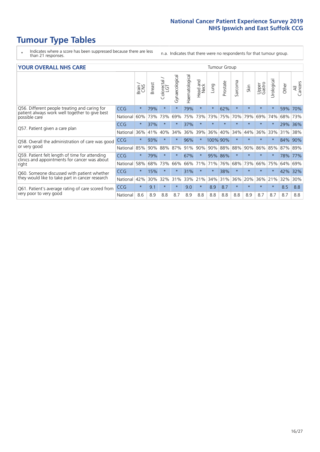- \* Indicates where a score has been suppressed because there are less than 21 responses.
- n.a. Indicates that there were no respondents for that tumour group.

#### **YOUR OVERALL NHS CARE** THE CONSTRUCTION OF THE THROUP GROUP TUMOUR GROUP

| <u>UUN UTENTEE ITIIJ GANE</u>                                                                                    |            |         |               |                        |                |                |                  |             |          |                      |         |                 |                            |         |                |
|------------------------------------------------------------------------------------------------------------------|------------|---------|---------------|------------------------|----------------|----------------|------------------|-------------|----------|----------------------|---------|-----------------|----------------------------|---------|----------------|
|                                                                                                                  |            | Brain   | <b>Breast</b> | olorectal.<br>LGT<br>Û | Gynaecological | Haematological | Head and<br>Neck | <b>Dung</b> | Prostate | arcoma<br>$\sqrt{ }$ | Skin    | Upper<br>Gastro | $\overline{c}$<br>Urologia | Other   | All<br>Cancers |
| Q56. Different people treating and caring for<br>patient always work well together to give best<br>possible care | <b>CCG</b> | $\star$ | 79%           | $\star$                | $\star$        | 79%            | $\star$          | $\star$     | 62%      | $\star$              | $\star$ | $\star$         |                            | 59%     | 70%            |
|                                                                                                                  | National   | 60%     | 73%           | 73%                    | 69%            | 75%            | 73%              | 73%         | 75%      | 70%                  | 79%     | 69%             | 74%                        | 68%     | 73%            |
| Q57. Patient given a care plan                                                                                   | <b>CCG</b> | $\star$ | 37%           | $\star$                | $\star$        | 37%            | $\star$          | $\star$     | $\star$  | $\star$              | $\star$ | $\star$         |                            | 29% 36% |                |
|                                                                                                                  | National   | 36%     | 41%           | 40%                    | 34%            | 36%            | 39%              | 36%         | 40%      | 34%                  | 44%     | 36%             | 33%                        | 31%     | 38%            |
| Q58. Overall the administration of care was good                                                                 | <b>CCG</b> | $\star$ | 93%           |                        |                | 96%            |                  | 100% 90%    |          | $\star$              | $\star$ | $\star$         |                            | 84% 90% |                |
| or very good                                                                                                     | National   | 85%     | 90%           | 88%                    | 87%            | 91%            | 90%              | 90%         | 88%      | 88%                  | 90%     | 86%             | 85%                        | 87% 89% |                |
| Q59. Patient felt length of time for attending<br>clinics and appointments for cancer was about                  | <b>CCG</b> | $\star$ | 79%           | $\star$                | $\star$        | 67%            | $\star$          | 95% 86%     |          | $\star$              | $\star$ | $\star$         |                            | 78%     | 77%            |
| right                                                                                                            | National   | 58%     | 68%           | 73%                    | 66%            | 66%            | 71%              | 71%         | 76%      | 68%                  | 73%     | 66%             | 75%                        | 64%     | 69%            |
| Q60. Someone discussed with patient whether                                                                      | <b>CCG</b> | $\star$ | 15%           | $\star$                |                | 31%            | $\star$          | $\star$     | 38%      | $\star$              | $\star$ | $\star$         |                            | 42%     | 32%            |
| they would like to take part in cancer research                                                                  | National   | 42%     | 30%           | 32%                    | 31%            | 33%            | 21%              | 34%         | 31%      | 36%                  | 20%     | 36%             | 21%                        | 32%     | 30%            |
| Q61. Patient's average rating of care scored from<br>very poor to very good                                      | <b>CCG</b> | $\star$ | 9.1           | $\star$                | $\star$        | 9.0            | $\star$          | 8.9         | 8.7      | $\star$              | $\star$ | $\star$         | $\star$                    | 8.5     | 8.8            |
|                                                                                                                  | National   | 8.6     | 8.9           | 8.8                    | 8.7            | 8.9            | 8.8              | 8.8         | 8.8      | 8.8                  | 8.9     | 8.7             | 8.7                        | 8.7     | 8.8            |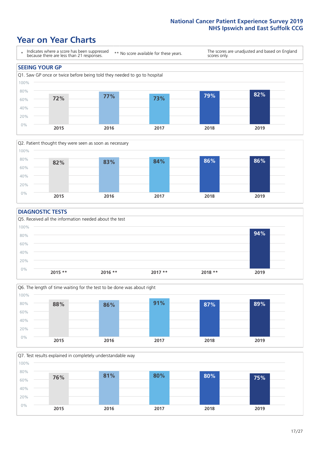### **Year on Year Charts**





### **DIAGNOSTIC TESTS**





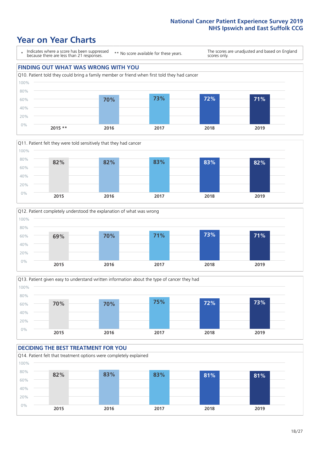







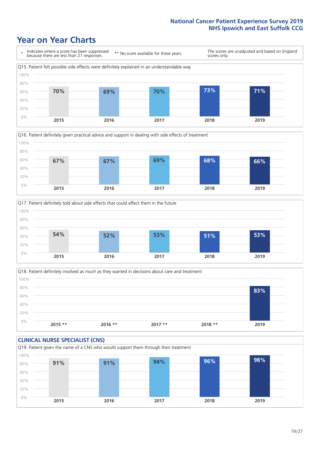





Q18. Patient definitely involved as much as they wanted in decisions about care and treatment  $0%$ 20% 40% 60% 80% 100% **2015 \*\* 2016 \*\* 2017 \*\* 2018 \*\* 2019 83%**

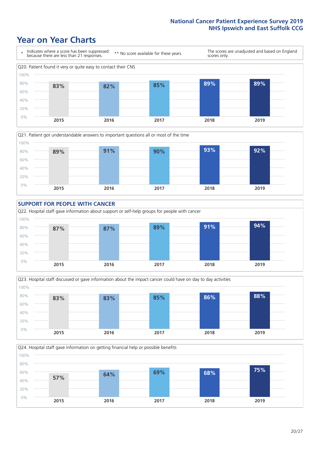







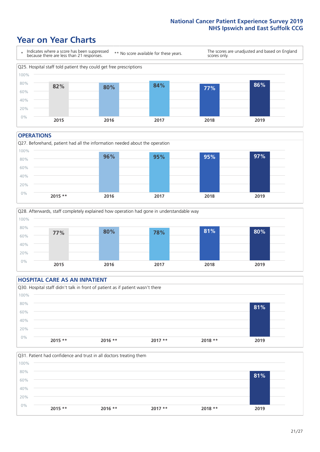### **Year on Year Charts**



#### **OPERATIONS**





### **HOSPITAL CARE AS AN INPATIENT** Q30. Hospital staff didn't talk in front of patient as if patient wasn't there 0% 20% 40% 60% 80% 100% **2015 \*\* 2016 \*\* 2017 \*\* 2018 \*\* 2019 81%**

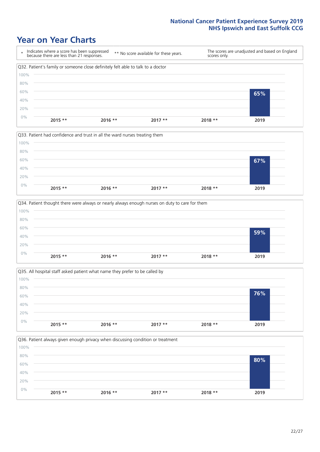







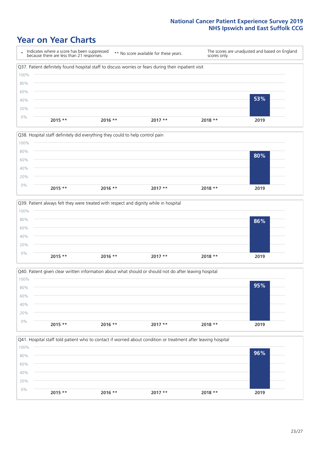







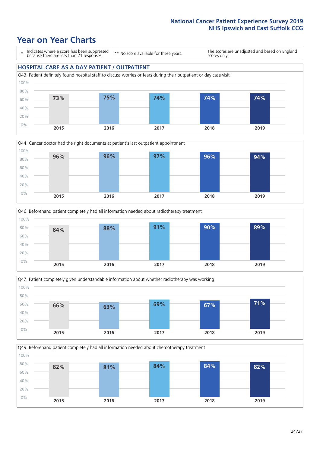### **Year on Year Charts**

\* Indicates where a score has been suppressed because there are less than 21 responses.

\*\* No score available for these years.

The scores are unadjusted and based on England scores only.

#### **HOSPITAL CARE AS A DAY PATIENT / OUTPATIENT**









Q49. Beforehand patient completely had all information needed about chemotherapy treatment 0% 20% 40% 60% 80% 100% **2015 2016 2017 2018 2019 82% 81% 84% 84% 82%**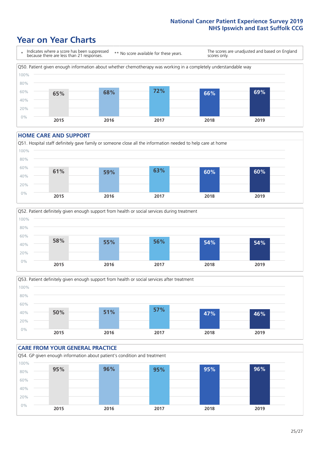### **Year on Year Charts**



#### **HOME CARE AND SUPPORT**







### **CARE FROM YOUR GENERAL PRACTICE** Q54. GP given enough information about patient's condition and treatment 0% 20% 40% 60% 80% 100% **2015 2016 2017 2018 2019 95% 96% 95% 95% 96%**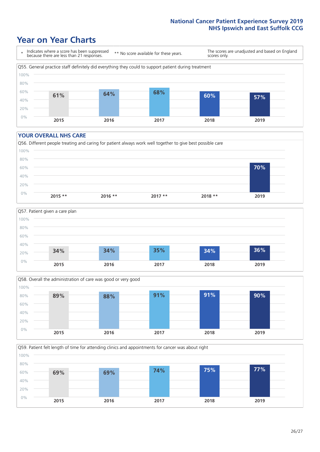### **Year on Year Charts**

\* Indicates where a score has been suppressed because there are less than 21 responses. \*\* No score available for these years. The scores are unadjusted and based on England scores only. Q55. General practice staff definitely did everything they could to support patient during treatment 0% 20% 40% 60% 80% 100% **2015 2016 2017 2018 2019 61% 64% 68% 60% 57%**

#### **YOUR OVERALL NHS CARE**







Q59. Patient felt length of time for attending clinics and appointments for cancer was about right